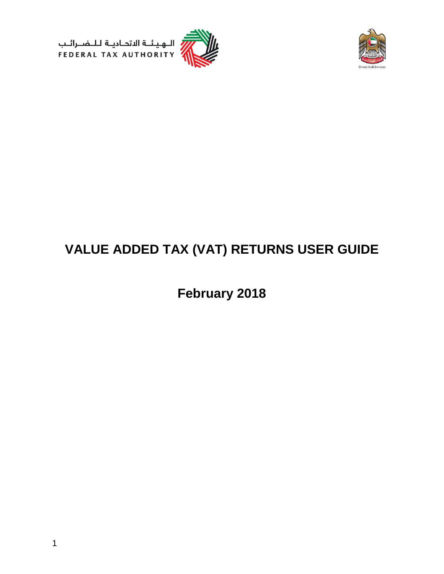





# **VALUE ADDED TAX (VAT) RETURNS USER GUIDE**

**February 2018**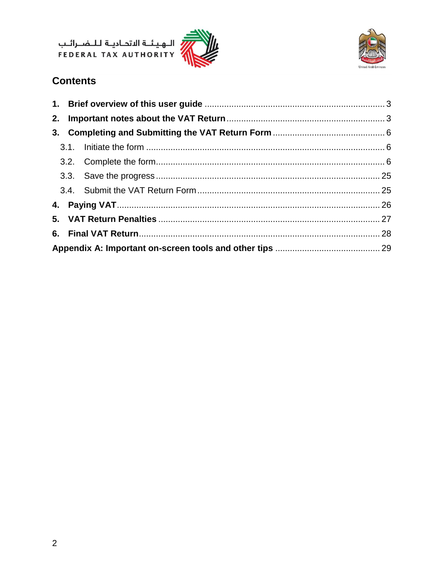ر<br>الـهيئــة الاتحـاديــة لـلــضــرائــب<br>FEDERAL TAX AUTHORITY





## **Contents**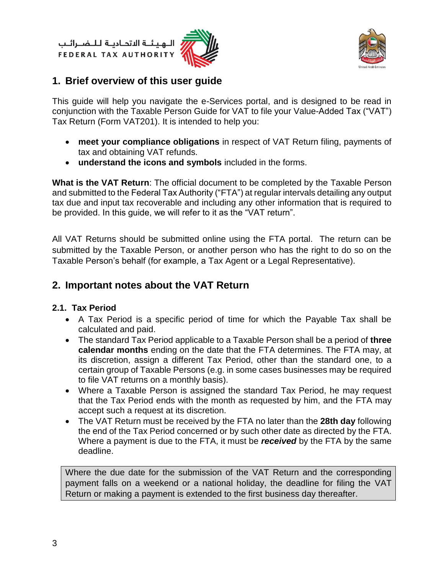الــهـيـئــة الىتحــاديــة لــلــضــرائــب<br>FEDERAL TAX AUTHORITY





## <span id="page-2-0"></span>**1. Brief overview of this user guide**

This guide will help you navigate the e-Services portal, and is designed to be read in conjunction with the Taxable Person Guide for VAT to file your Value-Added Tax ("VAT") Tax Return (Form VAT201). It is intended to help you:

- **meet your compliance obligations** in respect of VAT Return filing, payments of tax and obtaining VAT refunds.
- **understand the icons and symbols** included in the forms.

**What is the VAT Return**: The official document to be completed by the Taxable Person and submitted to the Federal Tax Authority ("FTA") at regular intervals detailing any output tax due and input tax recoverable and including any other information that is required to be provided. In this guide, we will refer to it as the "VAT return".

All VAT Returns should be submitted online using the FTA portal. The return can be submitted by the Taxable Person, or another person who has the right to do so on the Taxable Person's behalf (for example, a Tax Agent or a Legal Representative).

## <span id="page-2-1"></span>**2. Important notes about the VAT Return**

## **2.1. Tax Period**

- A Tax Period is a specific period of time for which the Payable Tax shall be calculated and paid.
- The standard Tax Period applicable to a Taxable Person shall be a period of **three calendar months** ending on the date that the FTA determines. The FTA may, at its discretion, assign a different Tax Period, other than the standard one, to a certain group of Taxable Persons (e.g. in some cases businesses may be required to file VAT returns on a monthly basis).
- Where a Taxable Person is assigned the standard Tax Period, he may request that the Tax Period ends with the month as requested by him, and the FTA may accept such a request at its discretion.
- The VAT Return must be received by the FTA no later than the **28th day** following the end of the Tax Period concerned or by such other date as directed by the FTA. Where a payment is due to the FTA, it must be *received* by the FTA by the same deadline.

Where the due date for the submission of the VAT Return and the corresponding payment falls on a weekend or a national holiday, the deadline for filing the VAT Return or making a payment is extended to the first business day thereafter.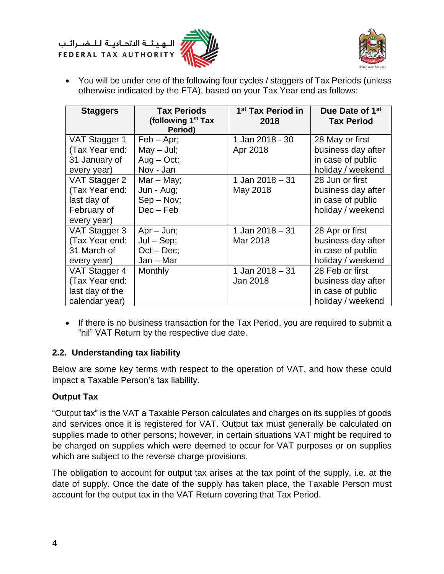الــهـيـئــة الاتحــاديــة لــلــضــرائــب<br>FEDERAL TAX AUTHORITY





 You will be under one of the following four cycles / staggers of Tax Periods (unless otherwise indicated by the FTA), based on your Tax Year end as follows:

| <b>Staggers</b> | <b>Tax Periods</b><br>(following 1 <sup>st</sup> Tax<br>Period) | 1 <sup>st</sup> Tax Period in<br>2018 | Due Date of 1 <sup>st</sup><br><b>Tax Period</b> |
|-----------------|-----------------------------------------------------------------|---------------------------------------|--------------------------------------------------|
| VAT Stagger 1   | $Feb - Apr;$                                                    | 1 Jan 2018 - 30                       | 28 May or first                                  |
| (Tax Year end:  | $May - Jul;$                                                    | Apr 2018                              | business day after                               |
| 31 January of   | $Aug - Oct;$                                                    |                                       | in case of public                                |
| every year)     | Nov - Jan                                                       |                                       | holiday / weekend                                |
| VAT Stagger 2   | $Mar - May;$                                                    | 1 Jan $2018 - 31$                     | 28 Jun or first                                  |
| (Tax Year end:  | Jun - Aug;                                                      | May 2018                              | business day after                               |
| last day of     | $Sep - Nov;$                                                    |                                       | in case of public                                |
| February of     | $Dec - Feb$                                                     |                                       | holiday / weekend                                |
| every year)     |                                                                 |                                       |                                                  |
| VAT Stagger 3   | $Apr - Jun;$                                                    | 1 Jan $2018 - 31$                     | 28 Apr or first                                  |
| (Tax Year end:  | $Jul - Sep;$                                                    | Mar 2018                              | business day after                               |
| 31 March of     | $Oct - Dec;$                                                    |                                       | in case of public                                |
| every year)     | $Jan - Mar$                                                     |                                       | holiday / weekend                                |
| VAT Stagger 4   | Monthly                                                         | 1 Jan $2018 - 31$                     | 28 Feb or first                                  |
| (Tax Year end:  |                                                                 | Jan 2018                              | business day after                               |
| last day of the |                                                                 |                                       | in case of public                                |
| calendar year)  |                                                                 |                                       | holiday / weekend                                |

• If there is no business transaction for the Tax Period, you are required to submit a "nil" VAT Return by the respective due date.

#### **2.2. Understanding tax liability**

Below are some key terms with respect to the operation of VAT, and how these could impact a Taxable Person's tax liability.

## **Output Tax**

"Output tax" is the VAT a Taxable Person calculates and charges on its supplies of goods and services once it is registered for VAT. Output tax must generally be calculated on supplies made to other persons; however, in certain situations VAT might be required to be charged on supplies which were deemed to occur for VAT purposes or on supplies which are subject to the reverse charge provisions.

The obligation to account for output tax arises at the tax point of the supply, i.e. at the date of supply. Once the date of the supply has taken place, the Taxable Person must account for the output tax in the VAT Return covering that Tax Period.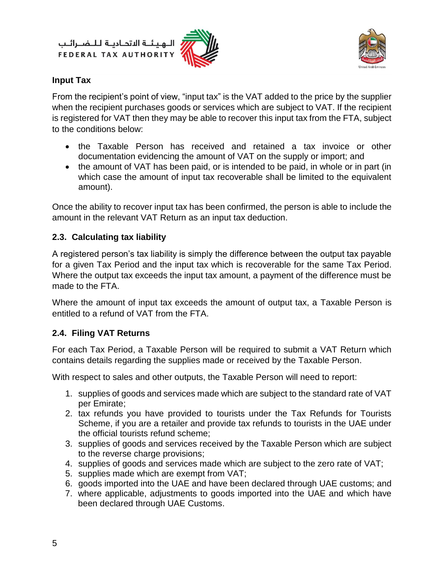الهيئة الاتحادية للضرائب **FEDERAL TAX AUTHORITY** 





#### **Input Tax**

From the recipient's point of view, "input tax" is the VAT added to the price by the supplier when the recipient purchases goods or services which are subject to VAT. If the recipient is registered for VAT then they may be able to recover this input tax from the FTA, subject to the conditions below:

- the Taxable Person has received and retained a tax invoice or other documentation evidencing the amount of VAT on the supply or import; and
- the amount of VAT has been paid, or is intended to be paid, in whole or in part (in which case the amount of input tax recoverable shall be limited to the equivalent amount).

Once the ability to recover input tax has been confirmed, the person is able to include the amount in the relevant VAT Return as an input tax deduction.

## **2.3. Calculating tax liability**

A registered person's tax liability is simply the difference between the output tax payable for a given Tax Period and the input tax which is recoverable for the same Tax Period. Where the output tax exceeds the input tax amount, a payment of the difference must be made to the FTA.

Where the amount of input tax exceeds the amount of output tax, a Taxable Person is entitled to a refund of VAT from the FTA.

## **2.4. Filing VAT Returns**

For each Tax Period, a Taxable Person will be required to submit a VAT Return which contains details regarding the supplies made or received by the Taxable Person.

With respect to sales and other outputs, the Taxable Person will need to report:

- 1. supplies of goods and services made which are subject to the standard rate of VAT per Emirate;
- 2. tax refunds you have provided to tourists under the Tax Refunds for Tourists Scheme, if you are a retailer and provide tax refunds to tourists in the UAE under the official tourists refund scheme;
- 3. supplies of goods and services received by the Taxable Person which are subject to the reverse charge provisions;
- 4. supplies of goods and services made which are subject to the zero rate of VAT;
- 5. supplies made which are exempt from VAT;
- 6. goods imported into the UAE and have been declared through UAE customs; and
- 7. where applicable, adjustments to goods imported into the UAE and which have been declared through UAE Customs.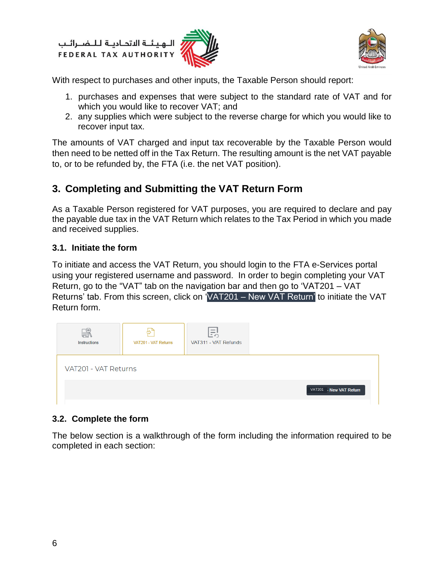الهيئة الاتحادية للضرائب **FEDERAL TAX AUTHORITY** 





With respect to purchases and other inputs, the Taxable Person should report:

- 1. purchases and expenses that were subject to the standard rate of VAT and for which you would like to recover VAT; and
- 2. any supplies which were subject to the reverse charge for which you would like to recover input tax.

The amounts of VAT charged and input tax recoverable by the Taxable Person would then need to be netted off in the Tax Return. The resulting amount is the net VAT payable to, or to be refunded by, the FTA (i.e. the net VAT position).

## <span id="page-5-0"></span>**3. Completing and Submitting the VAT Return Form**

As a Taxable Person registered for VAT purposes, you are required to declare and pay the payable due tax in the VAT Return which relates to the Tax Period in which you made and received supplies.

#### <span id="page-5-1"></span>**3.1. Initiate the form**

To initiate and access the VAT Return, you should login to the FTA e-Services portal using your registered username and password. In order to begin completing your VAT Return, go to the "VAT" tab on the navigation bar and then go to 'VAT201 – VAT Returns' tab. From this screen, click on 'VAT201 – New VAT Return' to initiate the VAT Return form.



## <span id="page-5-2"></span>**3.2. Complete the form**

The below section is a walkthrough of the form including the information required to be completed in each section: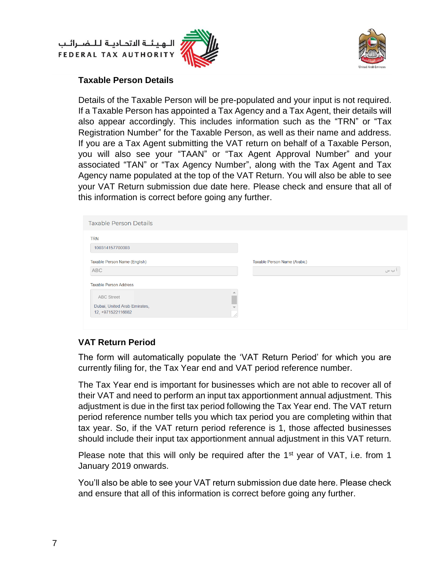





#### **Taxable Person Details**

Details of the Taxable Person will be pre-populated and your input is not required. If a Taxable Person has appointed a Tax Agency and a Tax Agent, their details will also appear accordingly. This includes information such as the "TRN" or "Tax Registration Number" for the Taxable Person, as well as their name and address. If you are a Tax Agent submitting the VAT return on behalf of a Taxable Person, you will also see your "TAAN" or "Tax Agent Approval Number" and your associated "TAN" or "Tax Agency Number", along with the Tax Agent and Tax Agency name populated at the top of the VAT Return. You will also be able to see your VAT Return submission due date here. Please check and ensure that all of this information is correct before going any further.

| <b>Taxable Person Details</b>                     |                              |
|---------------------------------------------------|------------------------------|
| <b>TRN</b><br>100314157700003                     |                              |
| Taxable Person Name (English)                     | Taxable Person Name (Arabic) |
| <b>ABC</b>                                        | ب س                          |
| <b>Taxable Person Address</b>                     |                              |
| <b>ABC Street</b>                                 |                              |
| Dubai, United Arab Emirates,<br>12, +971522116682 |                              |
|                                                   |                              |

## **VAT Return Period**

The form will automatically populate the 'VAT Return Period' for which you are currently filing for, the Tax Year end and VAT period reference number.

The Tax Year end is important for businesses which are not able to recover all of their VAT and need to perform an input tax apportionment annual adjustment. This adjustment is due in the first tax period following the Tax Year end. The VAT return period reference number tells you which tax period you are completing within that tax year. So, if the VAT return period reference is 1, those affected businesses should include their input tax apportionment annual adjustment in this VAT return.

Please note that this will only be required after the 1<sup>st</sup> year of VAT, i.e. from 1 January 2019 onwards.

You'll also be able to see your VAT return submission due date here. Please check and ensure that all of this information is correct before going any further.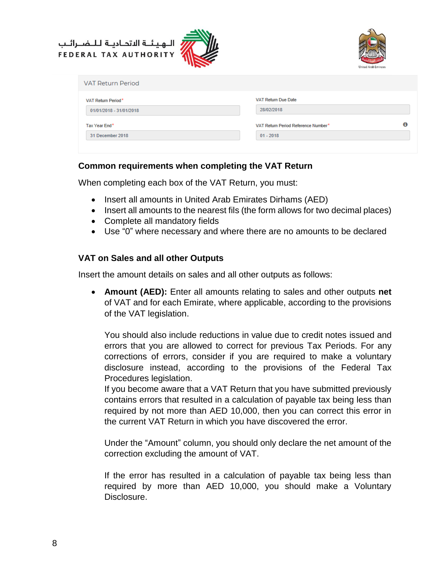





| n |
|---|
|   |
|   |

#### **Common requirements when completing the VAT Return**

When completing each box of the VAT Return, you must:

- Insert all amounts in United Arab Emirates Dirhams (AED)
- Insert all amounts to the nearest fils (the form allows for two decimal places)
- Complete all mandatory fields
- Use "0" where necessary and where there are no amounts to be declared

#### **VAT on Sales and all other Outputs**

Insert the amount details on sales and all other outputs as follows:

 **Amount (AED):** Enter all amounts relating to sales and other outputs **net** of VAT and for each Emirate, where applicable, according to the provisions of the VAT legislation.

You should also include reductions in value due to credit notes issued and errors that you are allowed to correct for previous Tax Periods. For any corrections of errors, consider if you are required to make a voluntary disclosure instead, according to the provisions of the Federal Tax Procedures legislation.

If you become aware that a VAT Return that you have submitted previously contains errors that resulted in a calculation of payable tax being less than required by not more than AED 10,000, then you can correct this error in the current VAT Return in which you have discovered the error.

Under the "Amount" column, you should only declare the net amount of the correction excluding the amount of VAT.

If the error has resulted in a calculation of payable tax being less than required by more than AED 10,000, you should make a Voluntary Disclosure.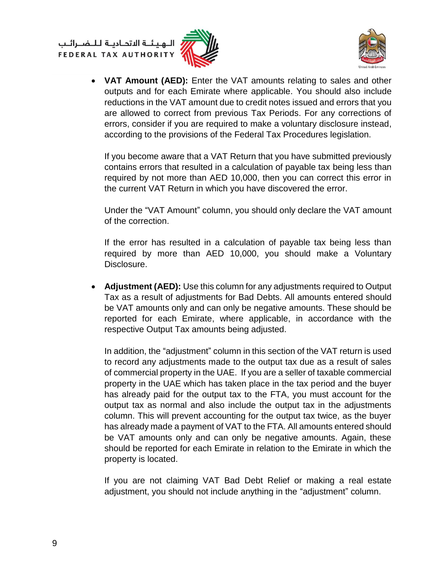الــهـيـئــة الاتحــاديــة لــلــضــرائــب<br>FEDERAL TAX AUTHORITY





 **VAT Amount (AED):** Enter the VAT amounts relating to sales and other outputs and for each Emirate where applicable. You should also include reductions in the VAT amount due to credit notes issued and errors that you are allowed to correct from previous Tax Periods. For any corrections of errors, consider if you are required to make a voluntary disclosure instead, according to the provisions of the Federal Tax Procedures legislation.

If you become aware that a VAT Return that you have submitted previously contains errors that resulted in a calculation of payable tax being less than required by not more than AED 10,000, then you can correct this error in the current VAT Return in which you have discovered the error.

Under the "VAT Amount" column, you should only declare the VAT amount of the correction.

If the error has resulted in a calculation of payable tax being less than required by more than AED 10,000, you should make a Voluntary Disclosure.

 **Adjustment (AED):** Use this column for any adjustments required to Output Tax as a result of adjustments for Bad Debts. All amounts entered should be VAT amounts only and can only be negative amounts. These should be reported for each Emirate, where applicable, in accordance with the respective Output Tax amounts being adjusted.

In addition, the "adjustment" column in this section of the VAT return is used to record any adjustments made to the output tax due as a result of sales of commercial property in the UAE. If you are a seller of taxable commercial property in the UAE which has taken place in the tax period and the buyer has already paid for the output tax to the FTA, you must account for the output tax as normal and also include the output tax in the adjustments column. This will prevent accounting for the output tax twice, as the buyer has already made a payment of VAT to the FTA. All amounts entered should be VAT amounts only and can only be negative amounts. Again, these should be reported for each Emirate in relation to the Emirate in which the property is located.

If you are not claiming VAT Bad Debt Relief or making a real estate adjustment, you should not include anything in the "adjustment" column.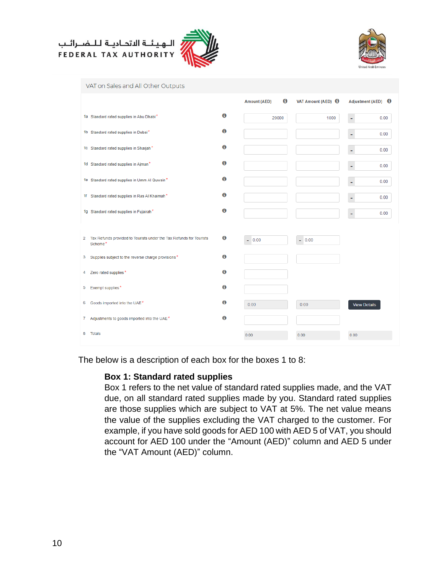

VAT on Sales and All Other Outputs





|                                                                                                  |                  | O<br><b>Amount (AED)</b> | VAT Amount (AED) <b>O</b> | <b>Adjustment (AED)</b><br>$\bullet$ |
|--------------------------------------------------------------------------------------------------|------------------|--------------------------|---------------------------|--------------------------------------|
| 1a Standard rated supplies in Abu Dhabi*                                                         | $\mathbf \theta$ | 20000                    | 1000                      | 0.00<br>÷,                           |
| 1b Standard rated supplies in Dubai*                                                             | 0                |                          |                           | 0.00                                 |
| 1c Standard rated supplies in Sharjah*                                                           | $\mathbf 0$      |                          |                           | 0.00                                 |
| 1d Standard rated supplies in Ajman*                                                             | 0                |                          |                           | 0.00<br>۰                            |
| 1e Standard rated supplies in Umm Al Quwain*                                                     | $\bf \bm \theta$ |                          |                           | 0.00<br>÷,                           |
| 1f Standard rated supplies in Ras Al Khaimah*                                                    | $\bf{0}$         |                          |                           | 0.00<br>۰                            |
| 1g Standard rated supplies in Fujairah*                                                          | $\bf \bm \theta$ |                          |                           | 0.00<br>۰                            |
|                                                                                                  |                  |                          |                           |                                      |
| Tax Refunds provided to Tourists under the Tax Refunds for Tourists<br>$\overline{2}$<br>Scheme* | $\bf{0}$         | $- 0.00$                 | $- 0.00$                  |                                      |
| Supplies subject to the reverse charge provisions*<br>3                                          | $\mathbf 6$      |                          |                           |                                      |
| Zero rated supplies*<br>4                                                                        | $\mathbf \Theta$ |                          |                           |                                      |
| Exempt supplies*<br>5                                                                            | $\bf{0}$         |                          |                           |                                      |
| Goods imported into the UAE*<br>6                                                                | 0                | 0.00                     | 0.00                      | <b>View Details</b>                  |
| Adjustments to goods imported into the UAE*<br>$7^{\circ}$                                       | 0                |                          |                           |                                      |
| <b>Totals</b><br>8                                                                               |                  | 0.00                     | 0.00                      | 0.00                                 |

The below is a description of each box for the boxes 1 to 8:

#### **Box 1: Standard rated supplies**

Box 1 refers to the net value of standard rated supplies made, and the VAT due, on all standard rated supplies made by you. Standard rated supplies are those supplies which are subject to VAT at 5%. The net value means the value of the supplies excluding the VAT charged to the customer. For example, if you have sold goods for AED 100 with AED 5 of VAT, you should account for AED 100 under the "Amount (AED)" column and AED 5 under the "VAT Amount (AED)" column.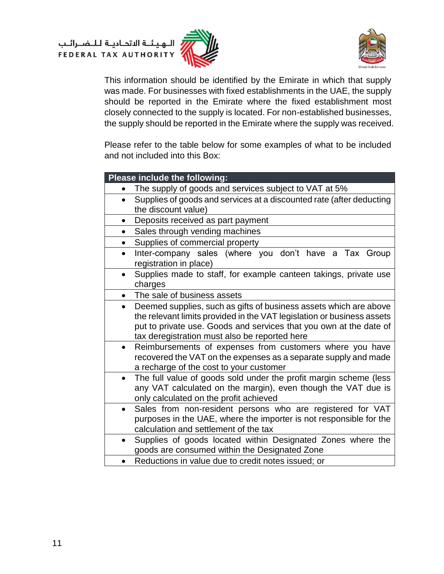



This information should be identified by the Emirate in which that supply was made. For businesses with fixed establishments in the UAE, the supply should be reported in the Emirate where the fixed establishment most closely connected to the supply is located. For non-established businesses, the supply should be reported in the Emirate where the supply was received.

Please refer to the table below for some examples of what to be included and not included into this Box:

|           | Please include the following:                                                                                |  |  |  |
|-----------|--------------------------------------------------------------------------------------------------------------|--|--|--|
|           | The supply of goods and services subject to VAT at 5%                                                        |  |  |  |
| $\bullet$ | Supplies of goods and services at a discounted rate (after deducting                                         |  |  |  |
|           | the discount value)                                                                                          |  |  |  |
| $\bullet$ | Deposits received as part payment                                                                            |  |  |  |
| $\bullet$ | Sales through vending machines                                                                               |  |  |  |
| $\bullet$ | Supplies of commercial property                                                                              |  |  |  |
| $\bullet$ | Inter-company sales (where you don't have a Tax<br>Group<br>registration in place)                           |  |  |  |
| $\bullet$ | Supplies made to staff, for example canteen takings, private use<br>charges                                  |  |  |  |
| $\bullet$ | The sale of business assets                                                                                  |  |  |  |
| $\bullet$ | Deemed supplies, such as gifts of business assets which are above                                            |  |  |  |
|           | the relevant limits provided in the VAT legislation or business assets                                       |  |  |  |
|           | put to private use. Goods and services that you own at the date of                                           |  |  |  |
|           | tax deregistration must also be reported here                                                                |  |  |  |
| $\bullet$ | Reimbursements of expenses from customers where you have                                                     |  |  |  |
|           | recovered the VAT on the expenses as a separate supply and made                                              |  |  |  |
|           | a recharge of the cost to your customer<br>The full value of goods sold under the profit margin scheme (less |  |  |  |
|           | any VAT calculated on the margin), even though the VAT due is                                                |  |  |  |
|           | only calculated on the profit achieved                                                                       |  |  |  |
|           | Sales from non-resident persons who are registered for VAT                                                   |  |  |  |
|           | purposes in the UAE, where the importer is not responsible for the                                           |  |  |  |
|           | calculation and settlement of the tax                                                                        |  |  |  |
|           | Supplies of goods located within Designated Zones where the                                                  |  |  |  |
|           | goods are consumed within the Designated Zone                                                                |  |  |  |
|           | Reductions in value due to credit notes issued; or                                                           |  |  |  |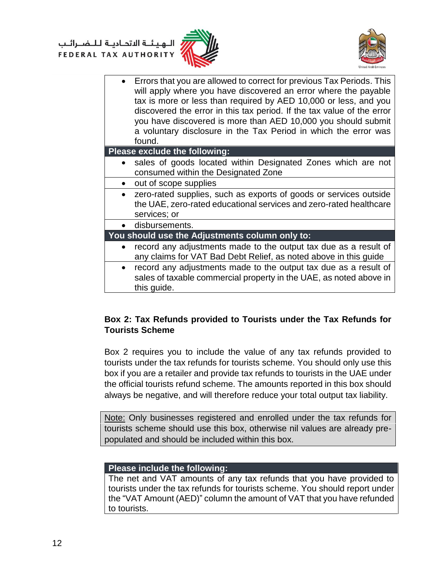الهيئة الاتحادية للضرائب **FEDERAL TAX AUTHORITY** 





- Errors that you are allowed to correct for previous Tax Periods. This will apply where you have discovered an error where the payable tax is more or less than required by AED 10,000 or less, and you discovered the error in this tax period. If the tax value of the error you have discovered is more than AED 10,000 you should submit a voluntary disclosure in the Tax Period in which the error was found. **Please exclude the following:** • sales of goods located within Designated Zones which are not consumed within the Designated Zone • out of scope supplies zero-rated supplies, such as exports of goods or services outside the UAE, zero-rated educational services and zero-rated healthcare services; or disbursements. **You should use the Adjustments column only to:** record any adjustments made to the output tax due as a result of any claims for VAT Bad Debt Relief, as noted above in this guide record any adjustments made to the output tax due as a result of
	- sales of taxable commercial property in the UAE, as noted above in this guide.

## **Box 2: Tax Refunds provided to Tourists under the Tax Refunds for Tourists Scheme**

Box 2 requires you to include the value of any tax refunds provided to tourists under the tax refunds for tourists scheme. You should only use this box if you are a retailer and provide tax refunds to tourists in the UAE under the official tourists refund scheme. The amounts reported in this box should always be negative, and will therefore reduce your total output tax liability.

Note: Only businesses registered and enrolled under the tax refunds for tourists scheme should use this box, otherwise nil values are already prepopulated and should be included within this box.

#### **Please include the following:**

The net and VAT amounts of any tax refunds that you have provided to tourists under the tax refunds for tourists scheme. You should report under the "VAT Amount (AED)" column the amount of VAT that you have refunded to tourists.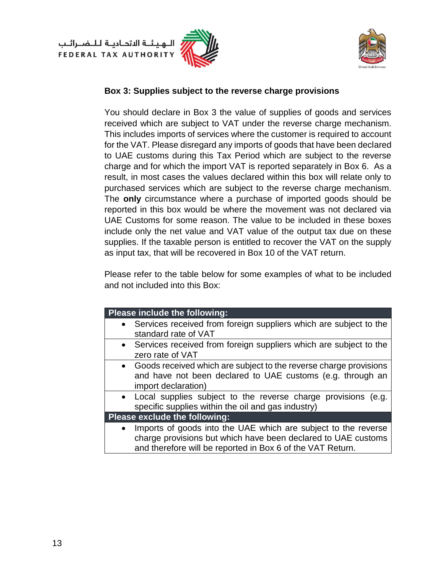



### **Box 3: Supplies subject to the reverse charge provisions**

You should declare in Box 3 the value of supplies of goods and services received which are subject to VAT under the reverse charge mechanism. This includes imports of services where the customer is required to account for the VAT. Please disregard any imports of goods that have been declared to UAE customs during this Tax Period which are subject to the reverse charge and for which the import VAT is reported separately in Box 6. As a result, in most cases the values declared within this box will relate only to purchased services which are subject to the reverse charge mechanism. The **only** circumstance where a purchase of imported goods should be reported in this box would be where the movement was not declared via UAE Customs for some reason. The value to be included in these boxes include only the net value and VAT value of the output tax due on these supplies. If the taxable person is entitled to recover the VAT on the supply as input tax, that will be recovered in Box 10 of the VAT return.

Please refer to the table below for some examples of what to be included and not included into this Box:

| Please include the following:                                       |
|---------------------------------------------------------------------|
| • Services received from foreign suppliers which are subject to the |
| standard rate of VAT                                                |
| • Services received from foreign suppliers which are subject to the |
| zero rate of VAT                                                    |
| • Goods received which are subject to the reverse charge provisions |
| and have not been declared to UAE customs (e.g. through an          |
| import declaration)                                                 |
| • Local supplies subject to the reverse charge provisions (e.g.     |
| specific supplies within the oil and gas industry)                  |
| Please exclude the following:                                       |
| Imports of goods into the UAE which are subject to the reverse      |
| charge provisions but which have been declared to UAE customs       |
| and therefore will be reported in Box 6 of the VAT Return.          |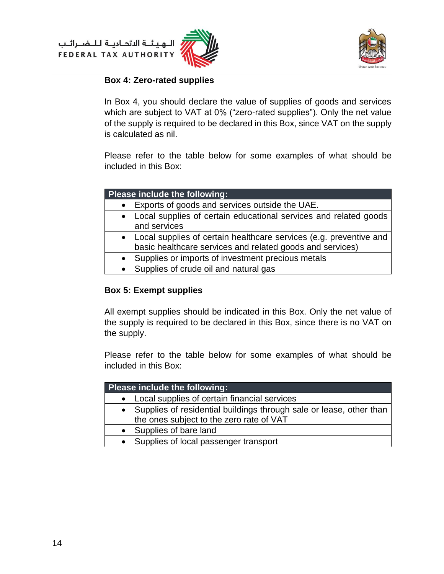





#### **Box 4: Zero-rated supplies**

In Box 4, you should declare the value of supplies of goods and services which are subject to VAT at 0% ("zero-rated supplies"). Only the net value of the supply is required to be declared in this Box, since VAT on the supply is calculated as nil.

Please refer to the table below for some examples of what should be included in this Box:

| Please include the following:                  |
|------------------------------------------------|
| Exports of goods and services outside the UAE. |

- Local supplies of certain educational services and related goods and services
- Local supplies of certain healthcare services (e.g. preventive and basic healthcare services and related goods and services)
- Supplies or imports of investment precious metals
- Supplies of crude oil and natural gas

#### **Box 5: Exempt supplies**

All exempt supplies should be indicated in this Box. Only the net value of the supply is required to be declared in this Box, since there is no VAT on the supply.

Please refer to the table below for some examples of what should be included in this Box:

| <b>Please include the following:</b> |                                                                       |  |  |  |
|--------------------------------------|-----------------------------------------------------------------------|--|--|--|
|                                      | • Local supplies of certain financial services                        |  |  |  |
|                                      | • Supplies of residential buildings through sale or lease, other than |  |  |  |
|                                      | the ones subject to the zero rate of VAT                              |  |  |  |
|                                      | • Supplies of bare land                                               |  |  |  |
|                                      | • Supplies of local passenger transport                               |  |  |  |
|                                      |                                                                       |  |  |  |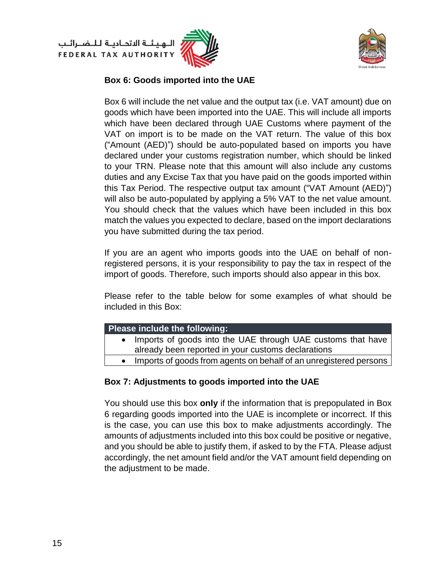





#### **Box 6: Goods imported into the UAE**

Box 6 will include the net value and the output tax (i.e. VAT amount) due on goods which have been imported into the UAE. This will include all imports which have been declared through UAE Customs where payment of the VAT on import is to be made on the VAT return. The value of this box ("Amount (AED)") should be auto-populated based on imports you have declared under your customs registration number, which should be linked to your TRN. Please note that this amount will also include any customs duties and any Excise Tax that you have paid on the goods imported within this Tax Period. The respective output tax amount ("VAT Amount (AED)") will also be auto-populated by applying a 5% VAT to the net value amount. You should check that the values which have been included in this box match the values you expected to declare, based on the import declarations you have submitted during the tax period.

If you are an agent who imports goods into the UAE on behalf of nonregistered persons, it is your responsibility to pay the tax in respect of the import of goods. Therefore, such imports should also appear in this box.

Please refer to the table below for some examples of what should be included in this Box:

| <b>Please include the following:</b>                        |                                                                   |  |  |  |
|-------------------------------------------------------------|-------------------------------------------------------------------|--|--|--|
| Imports of goods into the UAE through UAE customs that have |                                                                   |  |  |  |
|                                                             | already been reported in your customs declarations                |  |  |  |
|                                                             | Imports of goods from agents on behalf of an unregistered persons |  |  |  |

## **Box 7: Adjustments to goods imported into the UAE**

You should use this box **only** if the information that is prepopulated in Box 6 regarding goods imported into the UAE is incomplete or incorrect. If this is the case, you can use this box to make adjustments accordingly. The amounts of adjustments included into this box could be positive or negative, and you should be able to justify them, if asked to by the FTA. Please adjust accordingly, the net amount field and/or the VAT amount field depending on the adjustment to be made.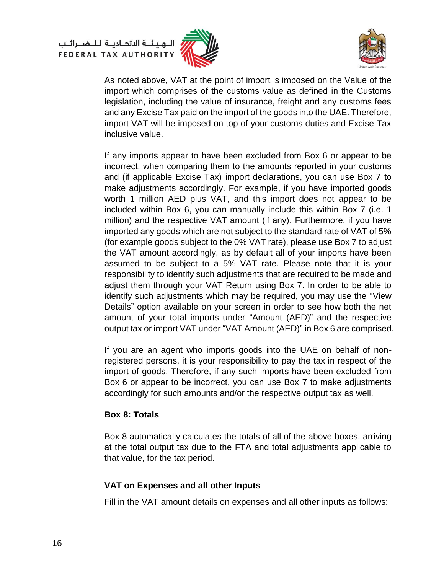الــهـيـئــة الاتحــاديــة لــلــضــرائــب<br>FEDERAL TAX AUTHORITY





As noted above, VAT at the point of import is imposed on the Value of the import which comprises of the customs value as defined in the Customs legislation, including the value of insurance, freight and any customs fees and any Excise Tax paid on the import of the goods into the UAE. Therefore, import VAT will be imposed on top of your customs duties and Excise Tax inclusive value.

If any imports appear to have been excluded from Box 6 or appear to be incorrect, when comparing them to the amounts reported in your customs and (if applicable Excise Tax) import declarations, you can use Box 7 to make adjustments accordingly. For example, if you have imported goods worth 1 million AED plus VAT, and this import does not appear to be included within Box 6, you can manually include this within Box 7 (i.e. 1 million) and the respective VAT amount (if any). Furthermore, if you have imported any goods which are not subject to the standard rate of VAT of 5% (for example goods subject to the 0% VAT rate), please use Box 7 to adjust the VAT amount accordingly, as by default all of your imports have been assumed to be subject to a 5% VAT rate. Please note that it is your responsibility to identify such adjustments that are required to be made and adjust them through your VAT Return using Box 7. In order to be able to identify such adjustments which may be required, you may use the "View Details" option available on your screen in order to see how both the net amount of your total imports under "Amount (AED)" and the respective output tax or import VAT under "VAT Amount (AED)" in Box 6 are comprised.

If you are an agent who imports goods into the UAE on behalf of nonregistered persons, it is your responsibility to pay the tax in respect of the import of goods. Therefore, if any such imports have been excluded from Box 6 or appear to be incorrect, you can use Box 7 to make adjustments accordingly for such amounts and/or the respective output tax as well.

#### **Box 8: Totals**

Box 8 automatically calculates the totals of all of the above boxes, arriving at the total output tax due to the FTA and total adjustments applicable to that value, for the tax period.

#### **VAT on Expenses and all other Inputs**

Fill in the VAT amount details on expenses and all other inputs as follows: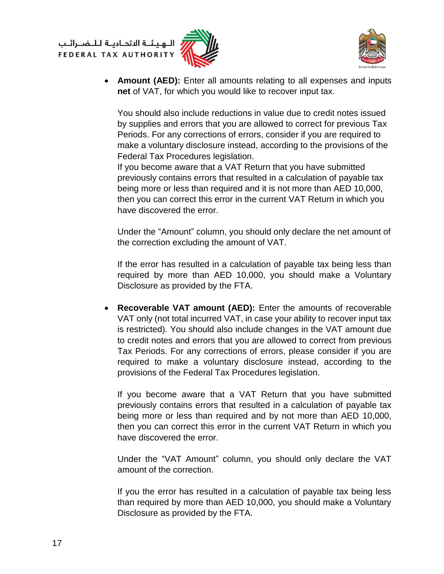الهيئة الاتحادية للضرائب FEDERAL TAX AUTHORITY





 **Amount (AED):** Enter all amounts relating to all expenses and inputs **net** of VAT, for which you would like to recover input tax.

You should also include reductions in value due to credit notes issued by supplies and errors that you are allowed to correct for previous Tax Periods. For any corrections of errors, consider if you are required to make a voluntary disclosure instead, according to the provisions of the Federal Tax Procedures legislation.

If you become aware that a VAT Return that you have submitted previously contains errors that resulted in a calculation of payable tax being more or less than required and it is not more than AED 10,000, then you can correct this error in the current VAT Return in which you have discovered the error.

Under the "Amount" column, you should only declare the net amount of the correction excluding the amount of VAT.

If the error has resulted in a calculation of payable tax being less than required by more than AED 10,000, you should make a Voluntary Disclosure as provided by the FTA.

 **Recoverable VAT amount (AED):** Enter the amounts of recoverable VAT only (not total incurred VAT, in case your ability to recover input tax is restricted). You should also include changes in the VAT amount due to credit notes and errors that you are allowed to correct from previous Tax Periods. For any corrections of errors, please consider if you are required to make a voluntary disclosure instead, according to the provisions of the Federal Tax Procedures legislation.

If you become aware that a VAT Return that you have submitted previously contains errors that resulted in a calculation of payable tax being more or less than required and by not more than AED 10,000, then you can correct this error in the current VAT Return in which you have discovered the error.

Under the "VAT Amount" column, you should only declare the VAT amount of the correction.

If you the error has resulted in a calculation of payable tax being less than required by more than AED 10,000, you should make a Voluntary Disclosure as provided by the FTA.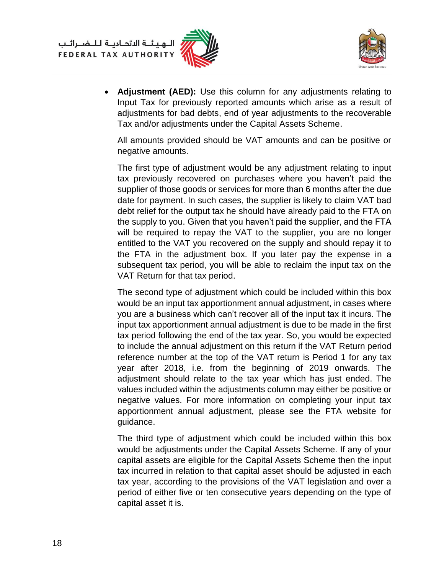الــهـيـئــة الاتحــاديــة لــلــضــرائــب<br>FEDERAL TAX AUTHORITY





 **Adjustment (AED):** Use this column for any adjustments relating to Input Tax for previously reported amounts which arise as a result of adjustments for bad debts, end of year adjustments to the recoverable Tax and/or adjustments under the Capital Assets Scheme.

All amounts provided should be VAT amounts and can be positive or negative amounts.

The first type of adjustment would be any adjustment relating to input tax previously recovered on purchases where you haven't paid the supplier of those goods or services for more than 6 months after the due date for payment. In such cases, the supplier is likely to claim VAT bad debt relief for the output tax he should have already paid to the FTA on the supply to you. Given that you haven't paid the supplier, and the FTA will be required to repay the VAT to the supplier, you are no longer entitled to the VAT you recovered on the supply and should repay it to the FTA in the adjustment box. If you later pay the expense in a subsequent tax period, you will be able to reclaim the input tax on the VAT Return for that tax period.

The second type of adjustment which could be included within this box would be an input tax apportionment annual adjustment, in cases where you are a business which can't recover all of the input tax it incurs. The input tax apportionment annual adjustment is due to be made in the first tax period following the end of the tax year. So, you would be expected to include the annual adjustment on this return if the VAT Return period reference number at the top of the VAT return is Period 1 for any tax year after 2018, i.e. from the beginning of 2019 onwards. The adjustment should relate to the tax year which has just ended. The values included within the adjustments column may either be positive or negative values. For more information on completing your input tax apportionment annual adjustment, please see the FTA website for guidance.

The third type of adjustment which could be included within this box would be adjustments under the Capital Assets Scheme. If any of your capital assets are eligible for the Capital Assets Scheme then the input tax incurred in relation to that capital asset should be adjusted in each tax year, according to the provisions of the VAT legislation and over a period of either five or ten consecutive years depending on the type of capital asset it is.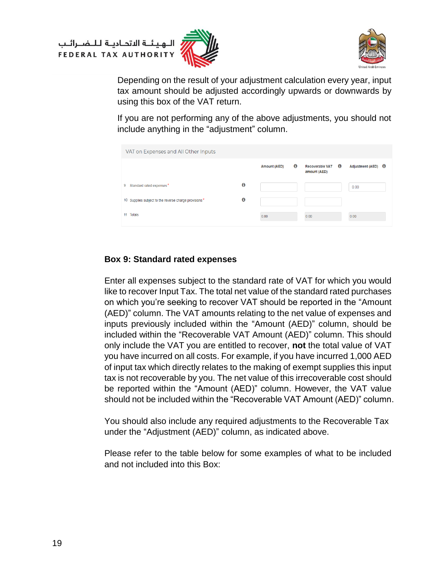





Depending on the result of your adjustment calculation every year, input tax amount should be adjusted accordingly upwards or downwards by using this box of the VAT return.

If you are not performing any of the above adjustments, you should not include anything in the "adjustment" column.

| VAT on Expenses and All Other Inputs                  |           |                     |   |                                   |                           |
|-------------------------------------------------------|-----------|---------------------|---|-----------------------------------|---------------------------|
|                                                       |           | <b>Amount (AED)</b> | 0 | Recoverable VAT 0<br>amount (AED) | Adjustment (AED) <b>O</b> |
| Standard rated expenses*<br>9                         | $\bullet$ |                     |   |                                   | 0.00                      |
| 10 Supplies subject to the reverse charge provisions* | $\bullet$ |                     |   |                                   |                           |
| 11 Totals                                             |           | 0.00                |   | 0.00                              | 0.00                      |

#### **Box 9: Standard rated expenses**

Enter all expenses subject to the standard rate of VAT for which you would like to recover Input Tax. The total net value of the standard rated purchases on which you're seeking to recover VAT should be reported in the "Amount (AED)" column. The VAT amounts relating to the net value of expenses and inputs previously included within the "Amount (AED)" column, should be included within the "Recoverable VAT Amount (AED)" column. This should only include the VAT you are entitled to recover, **not** the total value of VAT you have incurred on all costs. For example, if you have incurred 1,000 AED of input tax which directly relates to the making of exempt supplies this input tax is not recoverable by you. The net value of this irrecoverable cost should be reported within the "Amount (AED)" column. However, the VAT value should not be included within the "Recoverable VAT Amount (AED)" column.

You should also include any required adjustments to the Recoverable Tax under the "Adjustment (AED)" column, as indicated above.

Please refer to the table below for some examples of what to be included and not included into this Box: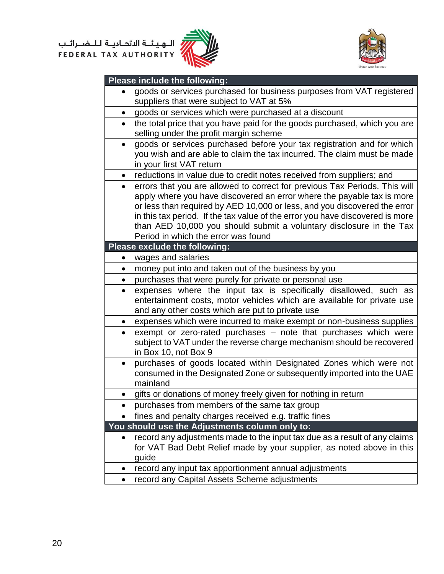



|           | Please include the following:                                                                                                                                                                                                                                                                                                                                                                                                    |
|-----------|----------------------------------------------------------------------------------------------------------------------------------------------------------------------------------------------------------------------------------------------------------------------------------------------------------------------------------------------------------------------------------------------------------------------------------|
|           | goods or services purchased for business purposes from VAT registered                                                                                                                                                                                                                                                                                                                                                            |
|           | suppliers that were subject to VAT at 5%                                                                                                                                                                                                                                                                                                                                                                                         |
| $\bullet$ | goods or services which were purchased at a discount                                                                                                                                                                                                                                                                                                                                                                             |
| $\bullet$ | the total price that you have paid for the goods purchased, which you are<br>selling under the profit margin scheme                                                                                                                                                                                                                                                                                                              |
| $\bullet$ | goods or services purchased before your tax registration and for which<br>you wish and are able to claim the tax incurred. The claim must be made<br>in your first VAT return                                                                                                                                                                                                                                                    |
| $\bullet$ | reductions in value due to credit notes received from suppliers; and                                                                                                                                                                                                                                                                                                                                                             |
| $\bullet$ | errors that you are allowed to correct for previous Tax Periods. This will<br>apply where you have discovered an error where the payable tax is more<br>or less than required by AED 10,000 or less, and you discovered the error<br>in this tax period. If the tax value of the error you have discovered is more<br>than AED 10,000 you should submit a voluntary disclosure in the Tax<br>Period in which the error was found |
|           | Please exclude the following:                                                                                                                                                                                                                                                                                                                                                                                                    |
|           | wages and salaries                                                                                                                                                                                                                                                                                                                                                                                                               |
| $\bullet$ | money put into and taken out of the business by you                                                                                                                                                                                                                                                                                                                                                                              |
| ٠         | purchases that were purely for private or personal use                                                                                                                                                                                                                                                                                                                                                                           |
| $\bullet$ | expenses where the input tax is specifically disallowed, such as<br>entertainment costs, motor vehicles which are available for private use<br>and any other costs which are put to private use                                                                                                                                                                                                                                  |
|           | expenses which were incurred to make exempt or non-business supplies                                                                                                                                                                                                                                                                                                                                                             |
| $\bullet$ | exempt or zero-rated purchases - note that purchases which were<br>subject to VAT under the reverse charge mechanism should be recovered<br>in Box 10, not Box 9                                                                                                                                                                                                                                                                 |
| $\bullet$ | purchases of goods located within Designated Zones which were not<br>consumed in the Designated Zone or subsequently imported into the UAE<br>mainland                                                                                                                                                                                                                                                                           |
|           | gifts or donations of money freely given for nothing in return                                                                                                                                                                                                                                                                                                                                                                   |
|           | purchases from members of the same tax group                                                                                                                                                                                                                                                                                                                                                                                     |
|           | fines and penalty charges received e.g. traffic fines                                                                                                                                                                                                                                                                                                                                                                            |
|           | You should use the Adjustments column only to:                                                                                                                                                                                                                                                                                                                                                                                   |
|           | record any adjustments made to the input tax due as a result of any claims<br>for VAT Bad Debt Relief made by your supplier, as noted above in this<br>guide                                                                                                                                                                                                                                                                     |
| $\bullet$ | record any input tax apportionment annual adjustments                                                                                                                                                                                                                                                                                                                                                                            |
|           | record any Capital Assets Scheme adjustments                                                                                                                                                                                                                                                                                                                                                                                     |
|           |                                                                                                                                                                                                                                                                                                                                                                                                                                  |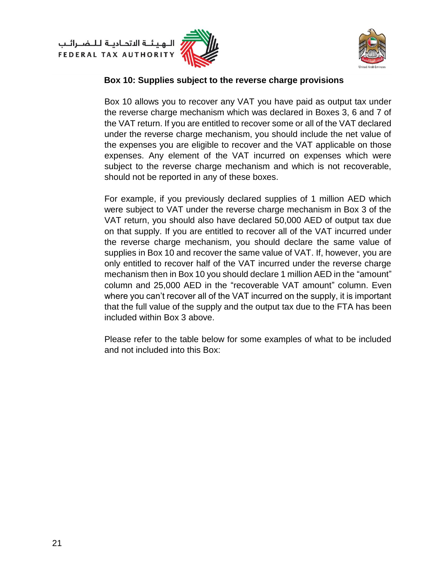



#### **Box 10: Supplies subject to the reverse charge provisions**

Box 10 allows you to recover any VAT you have paid as output tax under the reverse charge mechanism which was declared in Boxes 3, 6 and 7 of the VAT return. If you are entitled to recover some or all of the VAT declared under the reverse charge mechanism, you should include the net value of the expenses you are eligible to recover and the VAT applicable on those expenses. Any element of the VAT incurred on expenses which were subject to the reverse charge mechanism and which is not recoverable, should not be reported in any of these boxes.

For example, if you previously declared supplies of 1 million AED which were subject to VAT under the reverse charge mechanism in Box 3 of the VAT return, you should also have declared 50,000 AED of output tax due on that supply. If you are entitled to recover all of the VAT incurred under the reverse charge mechanism, you should declare the same value of supplies in Box 10 and recover the same value of VAT. If, however, you are only entitled to recover half of the VAT incurred under the reverse charge mechanism then in Box 10 you should declare 1 million AED in the "amount" column and 25,000 AED in the "recoverable VAT amount" column. Even where you can't recover all of the VAT incurred on the supply, it is important that the full value of the supply and the output tax due to the FTA has been included within Box 3 above.

Please refer to the table below for some examples of what to be included and not included into this Box: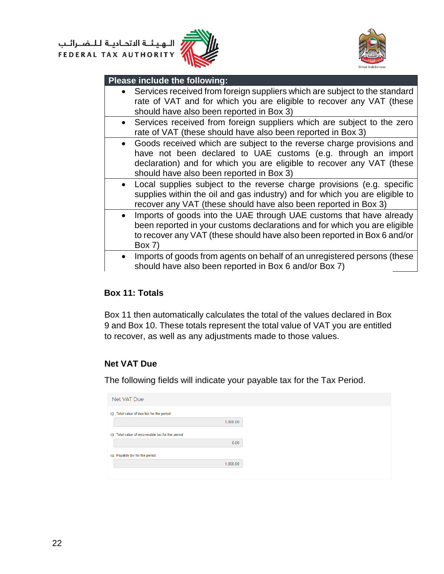



#### **Please include the following:**

- Services received from foreign suppliers which are subject to the standard rate of VAT and for which you are eligible to recover any VAT (these should have also been reported in Box 3)
	- Services received from foreign suppliers which are subject to the zero rate of VAT (these should have also been reported in Box 3)
	- Goods received which are subject to the reverse charge provisions and have not been declared to UAE customs (e.g. through an import declaration) and for which you are eligible to recover any VAT (these should have also been reported in Box 3)
	- Local supplies subject to the reverse charge provisions (e.g. specific supplies within the oil and gas industry) and for which you are eligible to recover any VAT (these should have also been reported in Box 3)
- Imports of goods into the UAE through UAE customs that have already been reported in your customs declarations and for which you are eligible to recover any VAT (these should have also been reported in Box 6 and/or Box 7)
- Imports of goods from agents on behalf of an unregistered persons (these should have also been reported in Box 6 and/or Box 7)

#### **Box 11: Totals**

Box 11 then automatically calculates the total of the values declared in Box 9 and Box 10. These totals represent the total value of VAT you are entitled to recover, as well as any adjustments made to those values.

#### **Net VAT Due**

The following fields will indicate your payable tax for the Tax Period.

| Net VAT Due                                      |          |
|--------------------------------------------------|----------|
| 12 Total value of due tax for the period         |          |
|                                                  | 1,000.00 |
| 13 Total value of recoverable tax for the period |          |
|                                                  | 0.00     |
| 14 Payable tax for the period                    |          |
|                                                  | 1,000.00 |
|                                                  |          |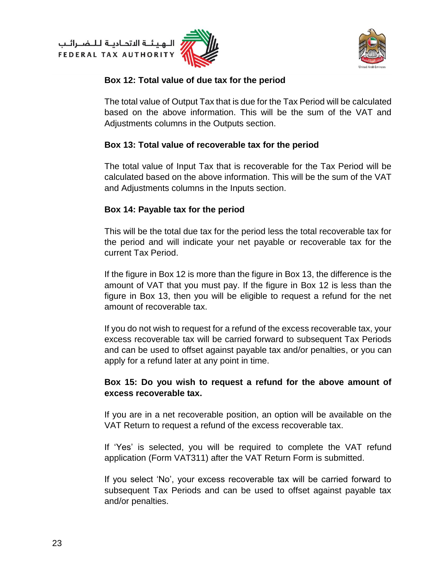



#### **Box 12: Total value of due tax for the period**

The total value of Output Tax that is due for the Tax Period will be calculated based on the above information. This will be the sum of the VAT and Adjustments columns in the Outputs section.

#### **Box 13: Total value of recoverable tax for the period**

The total value of Input Tax that is recoverable for the Tax Period will be calculated based on the above information. This will be the sum of the VAT and Adjustments columns in the Inputs section.

#### **Box 14: Payable tax for the period**

This will be the total due tax for the period less the total recoverable tax for the period and will indicate your net payable or recoverable tax for the current Tax Period.

If the figure in Box 12 is more than the figure in Box 13, the difference is the amount of VAT that you must pay. If the figure in Box 12 is less than the figure in Box 13, then you will be eligible to request a refund for the net amount of recoverable tax.

If you do not wish to request for a refund of the excess recoverable tax, your excess recoverable tax will be carried forward to subsequent Tax Periods and can be used to offset against payable tax and/or penalties, or you can apply for a refund later at any point in time.

#### **Box 15: Do you wish to request a refund for the above amount of excess recoverable tax.**

If you are in a net recoverable position, an option will be available on the VAT Return to request a refund of the excess recoverable tax.

If 'Yes' is selected, you will be required to complete the VAT refund application (Form VAT311) after the VAT Return Form is submitted.

If you select 'No', your excess recoverable tax will be carried forward to subsequent Tax Periods and can be used to offset against payable tax and/or penalties.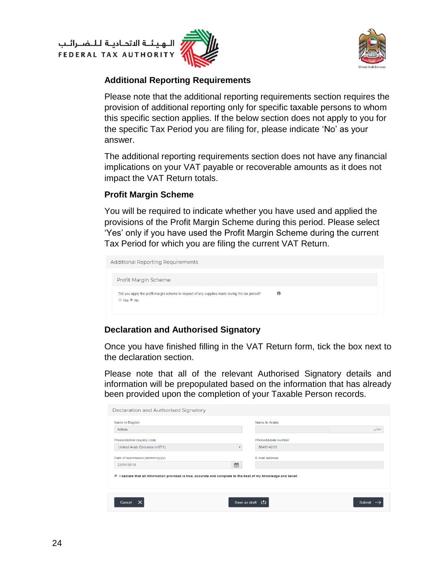



#### **Additional Reporting Requirements**

Please note that the additional reporting requirements section requires the provision of additional reporting only for specific taxable persons to whom this specific section applies. If the below section does not apply to you for the specific Tax Period you are filing for, please indicate 'No' as your answer.

The additional reporting requirements section does not have any financial implications on your VAT payable or recoverable amounts as it does not impact the VAT Return totals.

### **Profit Margin Scheme**

You will be required to indicate whether you have used and applied the provisions of the Profit Margin Scheme during this period. Please select 'Yes' only if you have used the Profit Margin Scheme during the current Tax Period for which you are filing the current VAT Return.

| <b>Additional Reporting Requirements</b>                                                                               |          |  |
|------------------------------------------------------------------------------------------------------------------------|----------|--|
| Profit Margin Scheme                                                                                                   |          |  |
| Did you apply the profit margin scheme in respect of any supplies made during the tax period?<br>◯ Yes <sup>®</sup> No | $\bf{0}$ |  |

#### **Declaration and Authorised Signatory**

Once you have finished filling in the VAT Return form, tick the box next to the declaration section.

Please note that all of the relevant Authorised Signatory details and information will be prepopulated based on the information that has already been provided upon the completion of your Taxable Person records.

| Declaration and Authorised Signatory                                                                                                       |               |                     |        |
|--------------------------------------------------------------------------------------------------------------------------------------------|---------------|---------------------|--------|
| Name in English                                                                                                                            |               | Name in Arabic      |        |
| Abbas                                                                                                                                      |               |                     | عناس   |
| Phone/Mobile country code                                                                                                                  |               | Phone/Mobile number |        |
| United Arab Emirates (+971)                                                                                                                |               | 564914215           |        |
| Date of submission (dd/mm/yyyy)                                                                                                            |               | E-mail address      |        |
| 22/01/2018                                                                                                                                 | 雦             |                     |        |
| $\overline{\mathscr{L}}$<br>I declare that all information provided is true, accurate and complete to the best of my knowledge and belief. |               |                     |        |
|                                                                                                                                            |               |                     |        |
| Cancel                                                                                                                                     | Save as draft | ⊣≁ı                 | Submit |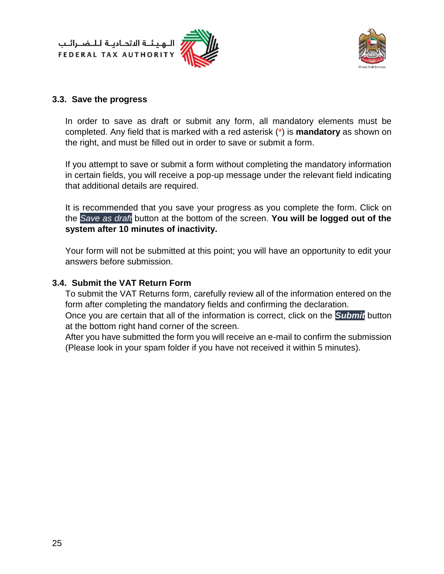الــهـيـئــة الىتحــاديــة لــلــضـــرائــب<br>FEDERAL TAX AUTHORITY





#### <span id="page-24-0"></span>**3.3. Save the progress**

In order to save as draft or submit any form, all mandatory elements must be completed. Any field that is marked with a red asterisk (\*) is **mandatory** as shown on the right, and must be filled out in order to save or submit a form.

If you attempt to save or submit a form without completing the mandatory information in certain fields, you will receive a pop-up message under the relevant field indicating that additional details are required.

It is recommended that you save your progress as you complete the form. Click on the *Save as draft* button at the bottom of the screen. **You will be logged out of the system after 10 minutes of inactivity.**

Your form will not be submitted at this point; you will have an opportunity to edit your answers before submission.

### <span id="page-24-1"></span>**3.4. Submit the VAT Return Form**

To submit the VAT Returns form, carefully review all of the information entered on the form after completing the mandatory fields and confirming the declaration. Once you are certain that all of the information is correct, click on the *Submit* button

at the bottom right hand corner of the screen.

After you have submitted the form you will receive an e-mail to confirm the submission (Please look in your spam folder if you have not received it within 5 minutes).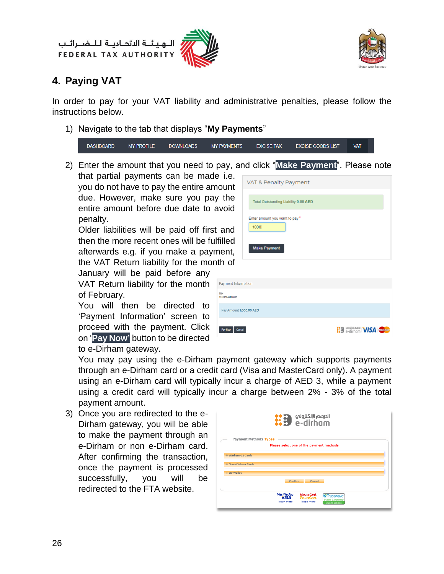الهيئة الاتحادية للضرائب **FEDERAL TAX AUTHORITY** 





## <span id="page-25-0"></span>**4. Paying VAT**

In order to pay for your VAT liability and administrative penalties, please follow the instructions below.

1) Navigate to the tab that displays "**My Payments**"

| <b>VAT</b><br><b>MY PROFILE</b><br><b>FXCISE GOODS LIST</b><br><b>DASHBOARD</b><br>DOWNI OADS<br><b>MY PAYMENTS</b><br><b>FXCISE TAX</b> |  |
|------------------------------------------------------------------------------------------------------------------------------------------|--|
|------------------------------------------------------------------------------------------------------------------------------------------|--|

2) Enter the amount that you need to pay, and click "**Make Payment**". Please note that partial payments can be made i.e. you do not have to pay the entire amount

due. However, make sure you pay the entire amount before due date to avoid penalty.

Older liabilities will be paid off first and then the more recent ones will be fulfilled afterwards e.g. if you make a payment, the VAT Return liability for the month of

January will be paid before any VAT Return liability for the month of February.

You will then be directed to 'Payment Information' screen to proceed with the payment. Click on '**Pay Now'** button to be directed to e-Dirham gateway.



| Payment Information           |                                         |
|-------------------------------|-----------------------------------------|
| <b>TRN</b><br>100015646100003 |                                         |
| Pay Amount 1,000.00 AED       |                                         |
| Pay Now<br>Cancel             | <b>HED Consider And MISA</b> Mastercard |

You may pay using the e-Dirham payment gateway which supports payments through an e-Dirham card or a credit card (Visa and MasterCard only). A payment using an e-Dirham card will typically incur a charge of AED 3, while a payment using a credit card will typically incur a charge between 2% - 3% of the total payment amount.

3) Once you are redirected to the e-Dirham gateway, you will be able to make the payment through an e-Dirham or non e-Dirham card. After confirming the transaction, once the payment is processed successfully, you will be redirected to the FTA website.

|                                   | الدرهم الإلكتروني<br>e-dirham                                                                                                                                                                   |  |
|-----------------------------------|-------------------------------------------------------------------------------------------------------------------------------------------------------------------------------------------------|--|
| <b>Payment Methods Types</b>      | Please select one of the payment methods                                                                                                                                                        |  |
| +eDirham G2 Cards                 |                                                                                                                                                                                                 |  |
| + Non-eDirham Cards<br>+eD-Wallet |                                                                                                                                                                                                 |  |
|                                   | Confirm<br>Cancel                                                                                                                                                                               |  |
|                                   | <b>Verified by</b><br><b>MasterCard.</b><br>Trustwave <sup>®</sup><br><b>VISA</b><br>SecureCode.<br><b>Trusted Commerce<sup>®</sup></b><br>learn more<br>learn more<br><b>Click to Validate</b> |  |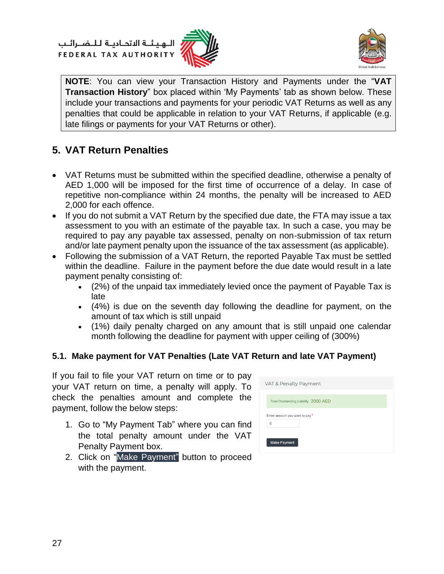الهيئة الاتحادية للنضرائب FEDERAL TAX AUTHORITY





**NOTE**: You can view your Transaction History and Payments under the "**VAT Transaction History**" box placed within 'My Payments' tab as shown below. These include your transactions and payments for your periodic VAT Returns as well as any penalties that could be applicable in relation to your VAT Returns, if applicable (e.g. late filings or payments for your VAT Returns or other).

## <span id="page-26-0"></span>**5. VAT Return Penalties**

- VAT Returns must be submitted within the specified deadline, otherwise a penalty of AED 1,000 will be imposed for the first time of occurrence of a delay. In case of repetitive non-compliance within 24 months, the penalty will be increased to AED 2,000 for each offence.
- If you do not submit a VAT Return by the specified due date, the FTA may issue a tax assessment to you with an estimate of the payable tax. In such a case, you may be required to pay any payable tax assessed, penalty on non-submission of tax return and/or late payment penalty upon the issuance of the tax assessment (as applicable).
- Following the submission of a VAT Return, the reported Payable Tax must be settled within the deadline. Failure in the payment before the due date would result in a late payment penalty consisting of:
	- (2%) of the unpaid tax immediately levied once the payment of Payable Tax is late
	- (4%) is due on the seventh day following the deadline for payment, on the amount of tax which is still unpaid
	- (1%) daily penalty charged on any amount that is still unpaid one calendar month following the deadline for payment with upper ceiling of (300%)

## **5.1. Make payment for VAT Penalties (Late VAT Return and late VAT Payment)**

If you fail to file your VAT return on time or to pay your VAT return on time, a penalty will apply. To check the penalties amount and complete the payment, follow the below steps:

1. Go to "My Payment Tab" where you can find the total penalty amount under the VAT Penalty Payment box.

|          | VAT & Penalty Payment                |  |  |
|----------|--------------------------------------|--|--|
|          | Total Outstanding Liability 2000 AED |  |  |
| $\theta$ | Enter amount you want to pay*        |  |  |
|          |                                      |  |  |

2. Click on "Make Payment" button to proceed with the payment.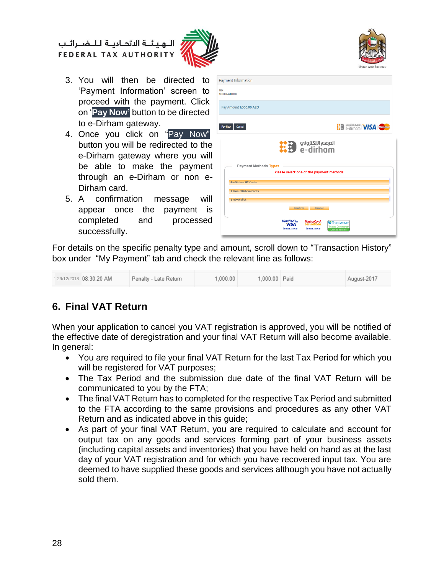## الهيئة الاتحادية للنضرائب FEDERAL TAX AUTHORITY





- 3. You will then be directed to 'Payment Information' screen to proceed with the payment. Click on '**Pay Now'** button to be directed to e-Dirham gateway.
- 4. Once you click on "Pay Now" button you will be redirected to the e-Dirham gateway where you will be able to make the payment through an e-Dirham or non e-Dirham card.
- 5. A confirmation message will appear once the payment is completed and processed successfully.

| <b>TRN</b><br>100015646100003                          |                                           |
|--------------------------------------------------------|-------------------------------------------|
| Pay Amount 1,000.00 AED                                |                                           |
| Pay Now<br>Cancel                                      | <b>ED</b> e-dirham <b>VISA</b> Mastercard |
| Herman Illian e-dirham<br><b>Payment Methods Types</b> |                                           |
| Please select one of the payment methods               |                                           |
| +eDirham G2 Cards                                      |                                           |
| + Non-eDirham Cards                                    |                                           |
| +eD-Wallet                                             |                                           |
| Confirm<br>Cancel                                      |                                           |

For details on the specific penalty type and amount, scroll down to "Transaction History" box under "My Payment" tab and check the relevant line as follows:

| 29/12/2018 08:30:20 AM | Penalty - Late Return | 1.000.00 | 1.000.00 Paid | August-2017 |
|------------------------|-----------------------|----------|---------------|-------------|
|                        |                       |          |               |             |

## <span id="page-27-0"></span>**6. Final VAT Return**

When your application to cancel you VAT registration is approved, you will be notified of the effective date of deregistration and your final VAT Return will also become available. In general:

- You are required to file your final VAT Return for the last Tax Period for which you will be registered for VAT purposes;
- The Tax Period and the submission due date of the final VAT Return will be communicated to you by the FTA;
- The final VAT Return has to completed for the respective Tax Period and submitted to the FTA according to the same provisions and procedures as any other VAT Return and as indicated above in this guide;
- As part of your final VAT Return, you are required to calculate and account for output tax on any goods and services forming part of your business assets (including capital assets and inventories) that you have held on hand as at the last day of your VAT registration and for which you have recovered input tax. You are deemed to have supplied these goods and services although you have not actually sold them.